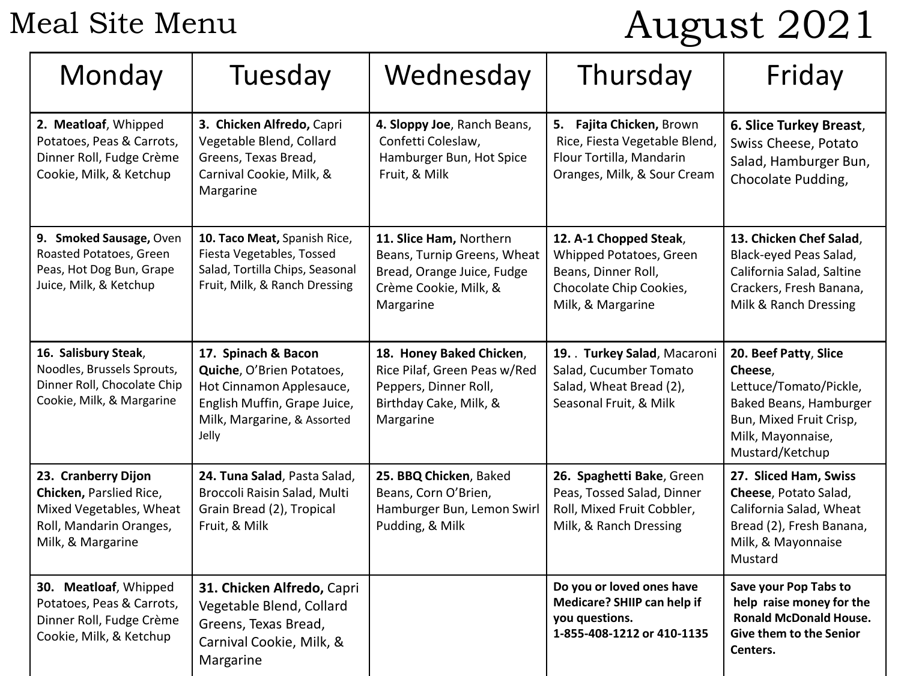Meal Site Menu

# August 2021

| Monday                                                                                                                    | Tuesday                                                                                                                                              | Wednesday                                                                                                                  | Thursday                                                                                                                 | Friday                                                                                                                                                  |
|---------------------------------------------------------------------------------------------------------------------------|------------------------------------------------------------------------------------------------------------------------------------------------------|----------------------------------------------------------------------------------------------------------------------------|--------------------------------------------------------------------------------------------------------------------------|---------------------------------------------------------------------------------------------------------------------------------------------------------|
| 2. Meatloaf, Whipped<br>Potatoes, Peas & Carrots,<br>Dinner Roll, Fudge Crème<br>Cookie, Milk, & Ketchup                  | 3. Chicken Alfredo, Capri<br>Vegetable Blend, Collard<br>Greens, Texas Bread,<br>Carnival Cookie, Milk, &<br>Margarine                               | 4. Sloppy Joe, Ranch Beans,<br>Confetti Coleslaw,<br>Hamburger Bun, Hot Spice<br>Fruit, & Milk                             | 5. Fajita Chicken, Brown<br>Rice, Fiesta Vegetable Blend,<br>Flour Tortilla, Mandarin<br>Oranges, Milk, & Sour Cream     | 6. Slice Turkey Breast,<br>Swiss Cheese, Potato<br>Salad, Hamburger Bun,<br>Chocolate Pudding,                                                          |
| 9. Smoked Sausage, Oven<br>Roasted Potatoes, Green<br>Peas, Hot Dog Bun, Grape<br>Juice, Milk, & Ketchup                  | 10. Taco Meat, Spanish Rice,<br>Fiesta Vegetables, Tossed<br>Salad, Tortilla Chips, Seasonal<br>Fruit, Milk, & Ranch Dressing                        | 11. Slice Ham, Northern<br>Beans, Turnip Greens, Wheat<br>Bread, Orange Juice, Fudge<br>Crème Cookie, Milk, &<br>Margarine | 12. A-1 Chopped Steak,<br>Whipped Potatoes, Green<br>Beans, Dinner Roll,<br>Chocolate Chip Cookies,<br>Milk, & Margarine | 13. Chicken Chef Salad,<br>Black-eyed Peas Salad,<br>California Salad, Saltine<br>Crackers, Fresh Banana,<br>Milk & Ranch Dressing                      |
| 16. Salisbury Steak,<br>Noodles, Brussels Sprouts,<br>Dinner Roll, Chocolate Chip<br>Cookie, Milk, & Margarine            | 17. Spinach & Bacon<br>Quiche, O'Brien Potatoes,<br>Hot Cinnamon Applesauce,<br>English Muffin, Grape Juice,<br>Milk, Margarine, & Assorted<br>Jelly | 18. Honey Baked Chicken,<br>Rice Pilaf, Green Peas w/Red<br>Peppers, Dinner Roll,<br>Birthday Cake, Milk, &<br>Margarine   | 19. Turkey Salad, Macaroni<br>Salad, Cucumber Tomato<br>Salad, Wheat Bread (2),<br>Seasonal Fruit, & Milk                | 20. Beef Patty, Slice<br>Cheese,<br>Lettuce/Tomato/Pickle,<br>Baked Beans, Hamburger<br>Bun, Mixed Fruit Crisp,<br>Milk, Mayonnaise,<br>Mustard/Ketchup |
| 23. Cranberry Dijon<br>Chicken, Parslied Rice,<br>Mixed Vegetables, Wheat<br>Roll, Mandarin Oranges,<br>Milk, & Margarine | 24. Tuna Salad, Pasta Salad,<br>Broccoli Raisin Salad, Multi<br>Grain Bread (2), Tropical<br>Fruit, & Milk                                           | 25. BBQ Chicken, Baked<br>Beans, Corn O'Brien,<br>Hamburger Bun, Lemon Swirl<br>Pudding, & Milk                            | 26. Spaghetti Bake, Green<br>Peas, Tossed Salad, Dinner<br>Roll, Mixed Fruit Cobbler,<br>Milk, & Ranch Dressing          | 27. Sliced Ham, Swiss<br>Cheese, Potato Salad,<br>California Salad, Wheat<br>Bread (2), Fresh Banana,<br>Milk, & Mayonnaise<br>Mustard                  |
| 30. Meatloaf, Whipped<br>Potatoes, Peas & Carrots,<br>Dinner Roll, Fudge Crème<br>Cookie, Milk, & Ketchup                 | 31. Chicken Alfredo, Capri<br>Vegetable Blend, Collard<br>Greens, Texas Bread,<br>Carnival Cookie, Milk, &<br>Margarine                              |                                                                                                                            | Do you or loved ones have<br>Medicare? SHIIP can help if<br>you questions.<br>1-855-408-1212 or 410-1135                 | Save your Pop Tabs to<br>help raise money for the<br><b>Ronald McDonald House.</b><br>Give them to the Senior<br>Centers.                               |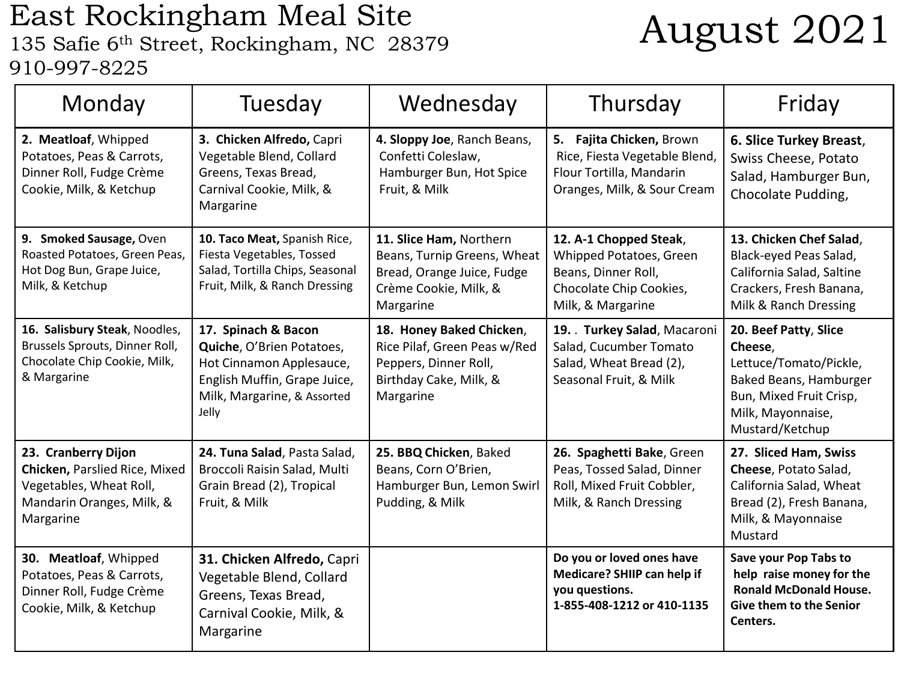## East Rockingham Meal Site East Rockingham Meal Site<br>135 Safie 6<sup>th</sup> Street, Rockingham, NC 28379 **August 2021** 910-997-8225

| Monday                                                                                                                           | Tuesday                                                                                                                                              | Wednesday                                                                                                                  | Thursday                                                                                                                 | Friday                                                                                                                                                  |
|----------------------------------------------------------------------------------------------------------------------------------|------------------------------------------------------------------------------------------------------------------------------------------------------|----------------------------------------------------------------------------------------------------------------------------|--------------------------------------------------------------------------------------------------------------------------|---------------------------------------------------------------------------------------------------------------------------------------------------------|
| 2. Meatloaf, Whipped<br>Potatoes, Peas & Carrots,<br>Dinner Roll, Fudge Crème<br>Cookie, Milk, & Ketchup                         | 3. Chicken Alfredo, Capri<br>Vegetable Blend, Collard<br>Greens, Texas Bread,<br>Carnival Cookie, Milk, &<br>Margarine                               | 4. Sloppy Joe, Ranch Beans,<br>Confetti Coleslaw,<br>Hamburger Bun, Hot Spice<br>Fruit, & Milk                             | 5. Fajita Chicken, Brown<br>Rice, Fiesta Vegetable Blend,<br>Flour Tortilla, Mandarin<br>Oranges, Milk, & Sour Cream     | 6. Slice Turkey Breast,<br>Swiss Cheese, Potato<br>Salad, Hamburger Bun,<br>Chocolate Pudding,                                                          |
| 9. Smoked Sausage, Oven<br>Roasted Potatoes, Green Peas,<br>Hot Dog Bun, Grape Juice,<br>Milk, & Ketchup                         | 10. Taco Meat, Spanish Rice,<br>Fiesta Vegetables, Tossed<br>Salad, Tortilla Chips, Seasonal<br>Fruit, Milk, & Ranch Dressing                        | 11. Slice Ham, Northern<br>Beans, Turnip Greens, Wheat<br>Bread, Orange Juice, Fudge<br>Crème Cookie, Milk, &<br>Margarine | 12. A-1 Chopped Steak,<br>Whipped Potatoes, Green<br>Beans, Dinner Roll,<br>Chocolate Chip Cookies,<br>Milk, & Margarine | 13. Chicken Chef Salad,<br>Black-eyed Peas Salad,<br>California Salad, Saltine<br>Crackers, Fresh Banana,<br>Milk & Ranch Dressing                      |
| 16. Salisbury Steak, Noodles,<br>Brussels Sprouts, Dinner Roll,<br>Chocolate Chip Cookie, Milk,<br>& Margarine                   | 17. Spinach & Bacon<br>Quiche, O'Brien Potatoes,<br>Hot Cinnamon Applesauce,<br>English Muffin, Grape Juice,<br>Milk, Margarine, & Assorted<br>Jelly | 18. Honey Baked Chicken,<br>Rice Pilaf, Green Peas w/Red<br>Peppers, Dinner Roll,<br>Birthday Cake, Milk, &<br>Margarine   | 19. Turkey Salad, Macaroni<br>Salad, Cucumber Tomato<br>Salad, Wheat Bread (2),<br>Seasonal Fruit, & Milk                | 20. Beef Patty, Slice<br>Cheese,<br>Lettuce/Tomato/Pickle,<br>Baked Beans, Hamburger<br>Bun, Mixed Fruit Crisp,<br>Milk, Mayonnaise,<br>Mustard/Ketchup |
| 23. Cranberry Dijon<br><b>Chicken, Parslied Rice, Mixed</b><br>Vegetables, Wheat Roll,<br>Mandarin Oranges, Milk, &<br>Margarine | 24. Tuna Salad, Pasta Salad,<br>Broccoli Raisin Salad, Multi<br>Grain Bread (2), Tropical<br>Fruit, & Milk                                           | 25. BBQ Chicken, Baked<br>Beans, Corn O'Brien,<br>Hamburger Bun, Lemon Swirl<br>Pudding, & Milk                            | 26. Spaghetti Bake, Green<br>Peas, Tossed Salad, Dinner<br>Roll, Mixed Fruit Cobbler,<br>Milk, & Ranch Dressing          | 27. Sliced Ham, Swiss<br>Cheese, Potato Salad,<br>California Salad, Wheat<br>Bread (2), Fresh Banana,<br>Milk, & Mayonnaise<br>Mustard                  |
| 30. Meatloaf, Whipped<br>Potatoes, Peas & Carrots,<br>Dinner Roll, Fudge Crème<br>Cookie, Milk, & Ketchup                        | 31. Chicken Alfredo, Capri<br>Vegetable Blend, Collard<br>Greens, Texas Bread,<br>Carnival Cookie, Milk, &<br>Margarine                              |                                                                                                                            | Do you or loved ones have<br>Medicare? SHIIP can help if<br>you questions.<br>1-855-408-1212 or 410-1135                 | Save your Pop Tabs to<br>help raise money for the<br><b>Ronald McDonald House.</b><br><b>Give them to the Senior</b><br>Centers.                        |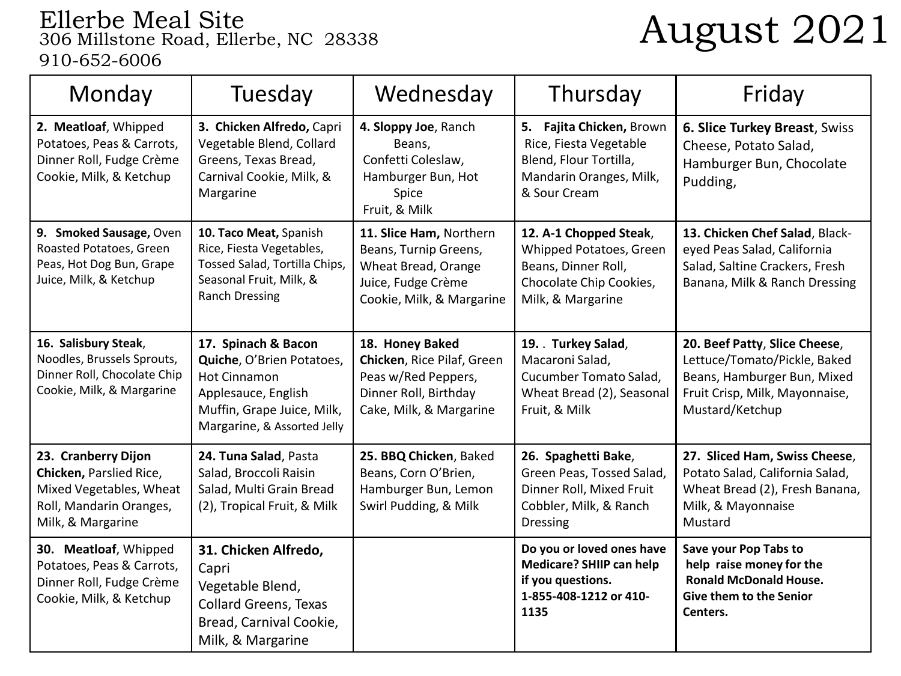# Ellerbe Meal Site 306 Millstone Road, Ellerbe, NC 28338 August 2021 910-652-6006

| Monday                                                                                                                    | Tuesday                                                                                                                                                     | Wednesday                                                                                                                  | Thursday                                                                                                                  | Friday                                                                                                                                            |
|---------------------------------------------------------------------------------------------------------------------------|-------------------------------------------------------------------------------------------------------------------------------------------------------------|----------------------------------------------------------------------------------------------------------------------------|---------------------------------------------------------------------------------------------------------------------------|---------------------------------------------------------------------------------------------------------------------------------------------------|
| 2. Meatloaf, Whipped<br>Potatoes, Peas & Carrots,<br>Dinner Roll, Fudge Crème<br>Cookie, Milk, & Ketchup                  | 3. Chicken Alfredo, Capri<br>Vegetable Blend, Collard<br>Greens, Texas Bread,<br>Carnival Cookie, Milk, &<br>Margarine                                      | 4. Sloppy Joe, Ranch<br>Beans,<br>Confetti Coleslaw,<br>Hamburger Bun, Hot<br>Spice<br>Fruit, & Milk                       | 5. Fajita Chicken, Brown<br>Rice, Fiesta Vegetable<br>Blend, Flour Tortilla,<br>Mandarin Oranges, Milk,<br>& Sour Cream   | 6. Slice Turkey Breast, Swiss<br>Cheese, Potato Salad,<br>Hamburger Bun, Chocolate<br>Pudding,                                                    |
| 9. Smoked Sausage, Oven<br>Roasted Potatoes, Green<br>Peas, Hot Dog Bun, Grape<br>Juice, Milk, & Ketchup                  | 10. Taco Meat, Spanish<br>Rice, Fiesta Vegetables,<br>Tossed Salad, Tortilla Chips,<br>Seasonal Fruit, Milk, &<br><b>Ranch Dressing</b>                     | 11. Slice Ham, Northern<br>Beans, Turnip Greens,<br>Wheat Bread, Orange<br>Juice, Fudge Crème<br>Cookie, Milk, & Margarine | 12. A-1 Chopped Steak,<br>Whipped Potatoes, Green<br>Beans, Dinner Roll,<br>Chocolate Chip Cookies,<br>Milk, & Margarine  | 13. Chicken Chef Salad, Black-<br>eyed Peas Salad, California<br>Salad, Saltine Crackers, Fresh<br>Banana, Milk & Ranch Dressing                  |
| 16. Salisbury Steak,<br>Noodles, Brussels Sprouts,<br>Dinner Roll, Chocolate Chip<br>Cookie, Milk, & Margarine            | 17. Spinach & Bacon<br>Quiche, O'Brien Potatoes,<br><b>Hot Cinnamon</b><br>Applesauce, English<br>Muffin, Grape Juice, Milk,<br>Margarine, & Assorted Jelly | 18. Honey Baked<br>Chicken, Rice Pilaf, Green<br>Peas w/Red Peppers,<br>Dinner Roll, Birthday<br>Cake, Milk, & Margarine   | 19. Turkey Salad,<br>Macaroni Salad,<br>Cucumber Tomato Salad,<br>Wheat Bread (2), Seasonal<br>Fruit, & Milk              | 20. Beef Patty, Slice Cheese,<br>Lettuce/Tomato/Pickle, Baked<br>Beans, Hamburger Bun, Mixed<br>Fruit Crisp, Milk, Mayonnaise,<br>Mustard/Ketchup |
| 23. Cranberry Dijon<br>Chicken, Parslied Rice,<br>Mixed Vegetables, Wheat<br>Roll, Mandarin Oranges,<br>Milk, & Margarine | 24. Tuna Salad, Pasta<br>Salad, Broccoli Raisin<br>Salad, Multi Grain Bread<br>(2), Tropical Fruit, & Milk                                                  | 25. BBQ Chicken, Baked<br>Beans, Corn O'Brien,<br>Hamburger Bun, Lemon<br>Swirl Pudding, & Milk                            | 26. Spaghetti Bake,<br>Green Peas, Tossed Salad,<br>Dinner Roll, Mixed Fruit<br>Cobbler, Milk, & Ranch<br><b>Dressing</b> | 27. Sliced Ham, Swiss Cheese,<br>Potato Salad, California Salad,<br>Wheat Bread (2), Fresh Banana,<br>Milk, & Mayonnaise<br>Mustard               |
| 30. Meatloaf, Whipped<br>Potatoes, Peas & Carrots,<br>Dinner Roll, Fudge Crème<br>Cookie, Milk, & Ketchup                 | 31. Chicken Alfredo,<br>Capri<br>Vegetable Blend,<br><b>Collard Greens, Texas</b><br>Bread, Carnival Cookie,<br>Milk, & Margarine                           |                                                                                                                            | Do you or loved ones have<br>Medicare? SHIIP can help<br>if you questions.<br>1-855-408-1212 or 410-<br>1135              | Save your Pop Tabs to<br>help raise money for the<br><b>Ronald McDonald House.</b><br>Give them to the Senior<br>Centers.                         |